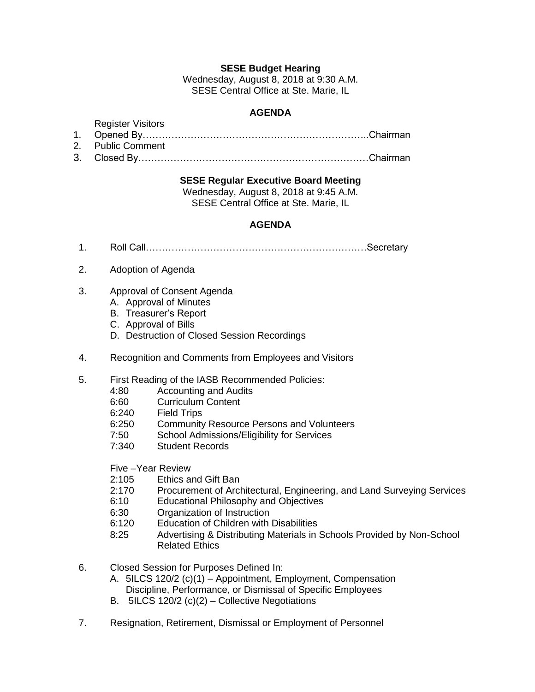## **SESE Budget Hearing**

Wednesday, August 8, 2018 at 9:30 A.M. SESE Central Office at Ste. Marie, IL

# **AGENDA**

#### Register Visitors

1. Opened By……………………………………………………………..Chairman

- 2. Public Comment
- 3. Closed By………………………………………………………………Chairman

#### **SESE Regular Executive Board Meeting**

Wednesday, August 8, 2018 at 9:45 A.M. SESE Central Office at Ste. Marie, IL

### **AGENDA**

- 1. Roll Call……………………………………………………………Secretary
- 2. Adoption of Agenda
- 3. Approval of Consent Agenda
	- A. Approval of Minutes
	- B. Treasurer's Report
	- C. Approval of Bills
	- D. Destruction of Closed Session Recordings
- 4. Recognition and Comments from Employees and Visitors
- 5. First Reading of the IASB Recommended Policies:
	- 4:80 Accounting and Audits
	- 6:60 Curriculum Content
	-
	- 6:240 Field Trips<br>6:250 Community Community Resource Persons and Volunteers
	- 7:50 School Admissions/Eligibility for Services
	- 7:340 Student Records

Five –Year Review

- 2:105 Ethics and Gift Ban
- 2:170 Procurement of Architectural, Engineering, and Land Surveying Services
- 6:10 Educational Philosophy and Objectives
- 6:30 Organization of Instruction
- 6:120 Education of Children with Disabilities
- 8:25 Advertising & Distributing Materials in Schools Provided by Non-School Related Ethics
- 6. Closed Session for Purposes Defined In:
	- A. 5ILCS 120/2 (c)(1) Appointment, Employment, Compensation Discipline, Performance, or Dismissal of Specific Employees
	- B. 5ILCS 120/2 (c)(2) Collective Negotiations
- 7. Resignation, Retirement, Dismissal or Employment of Personnel